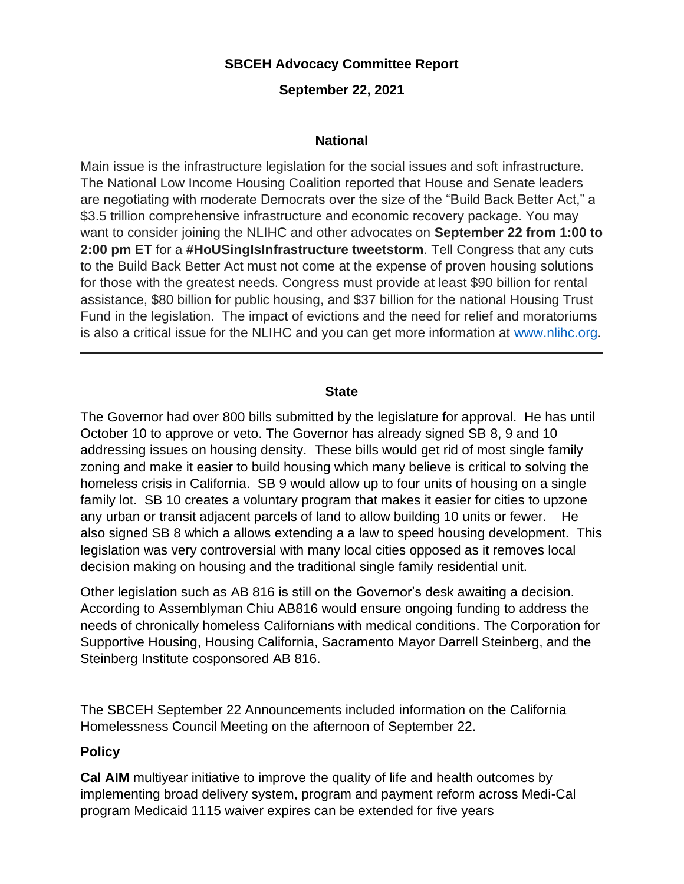# **SBCEH Advocacy Committee Report**

## **September 22, 2021**

## **National**

Main issue is the infrastructure legislation for the social issues and soft infrastructure. The National Low Income Housing Coalition reported that House and Senate leaders are negotiating with moderate Democrats over the size of the "Build Back Better Act," a \$3.5 trillion comprehensive infrastructure and economic recovery package. You may want to consider joining the NLIHC and other advocates on **September 22 from 1:00 to 2:00 pm ET** for a **#HoUSingIsInfrastructure tweetstorm**. Tell Congress that any cuts to the Build Back Better Act must not come at the expense of proven housing solutions for those with the greatest needs. Congress must provide at least \$90 billion for rental assistance, \$80 billion for public housing, and \$37 billion for the national Housing Trust Fund in the legislation. The impact of evictions and the need for relief and moratoriums is also a critical issue for the NLIHC and you can get more information at [www.nlihc.org.](http://www.nlihc.org/)

#### **State**

The Governor had over 800 bills submitted by the legislature for approval. He has until October 10 to approve or veto. The Governor has already signed SB 8, 9 and 10 addressing issues on housing density. These bills would get rid of most single family zoning and make it easier to build housing which many believe is critical to solving the homeless crisis in California. SB 9 would allow up to four units of housing on a single family lot. SB 10 creates a voluntary program that makes it easier for cities to upzone any urban or transit adjacent parcels of land to allow building 10 units or fewer. He also signed SB 8 which a allows extending a a law to speed housing development. This legislation was very controversial with many local cities opposed as it removes local decision making on housing and the traditional single family residential unit.

Other legislation such as AB 816 is still on the Governor's desk awaiting a decision. According to Assemblyman Chiu AB816 would ensure ongoing funding to address the needs of chronically homeless Californians with medical conditions. The Corporation for Supportive Housing, Housing California, Sacramento Mayor Darrell Steinberg, and the Steinberg Institute cosponsored AB 816.

The SBCEH September 22 Announcements included information on the California Homelessness Council Meeting on the afternoon of September 22.

## **Policy**

**Cal AIM** multiyear initiative to improve the quality of life and health outcomes by implementing broad delivery system, program and payment reform across Medi-Cal program Medicaid 1115 waiver expires can be extended for five years